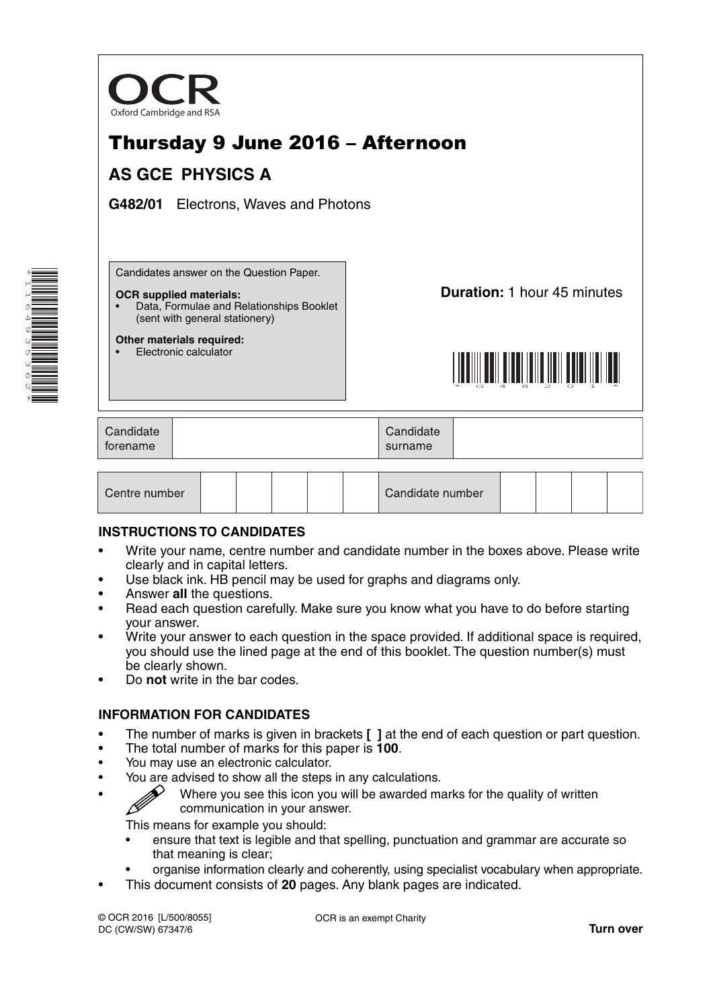

# Thursday 9 June 2016 – Afternoon

## **AS GCE PHYSICS A**

**G482/01** Electrons, Waves and Photons

Candidates answer on the Question Paper.

#### **OCR supplied materials:**

- Data, Formulae and Relationships Booklet (sent with general stationery)
- **Other materials required:** • Electronic calculator

**Duration:** 1 hour 45 minutes



| Candidate<br>forename | Candidate<br>surname |  |
|-----------------------|----------------------|--|
|                       |                      |  |

| Centre number |  |  |  |  |  | Candidate number |  |  |  |  |  |
|---------------|--|--|--|--|--|------------------|--|--|--|--|--|
|---------------|--|--|--|--|--|------------------|--|--|--|--|--|

#### **INSTRUCTIONS TO CANDIDATES**

- Write your name, centre number and candidate number in the boxes above. Please write clearly and in capital letters.
- Use black ink. HB pencil may be used for graphs and diagrams only.
- Answer **all** the questions.
- Read each question carefully. Make sure you know what you have to do before starting your answer.
- Write your answer to each question in the space provided. If additional space is required, you should use the lined page at the end of this booklet. The question number(s) must be clearly shown.
- Do **not** write in the bar codes.

#### **INFORMATION FOR CANDIDATES**

- The number of marks is given in brackets **[ ]** at the end of each question or part question.
- The total number of marks for this paper is **100**.
- You may use an electronic calculator.
- You are advised to show all the steps in any calculations.
	- Where you see this icon you will be awarded marks for the quality of written B communication in your answer.

This means for example you should:

- ensure that text is legible and that spelling, punctuation and grammar are accurate so that meaning is clear;
- organise information clearly and coherently, using specialist vocabulary when appropriate.
- This document consists of **20** pages. Any blank pages are indicated.

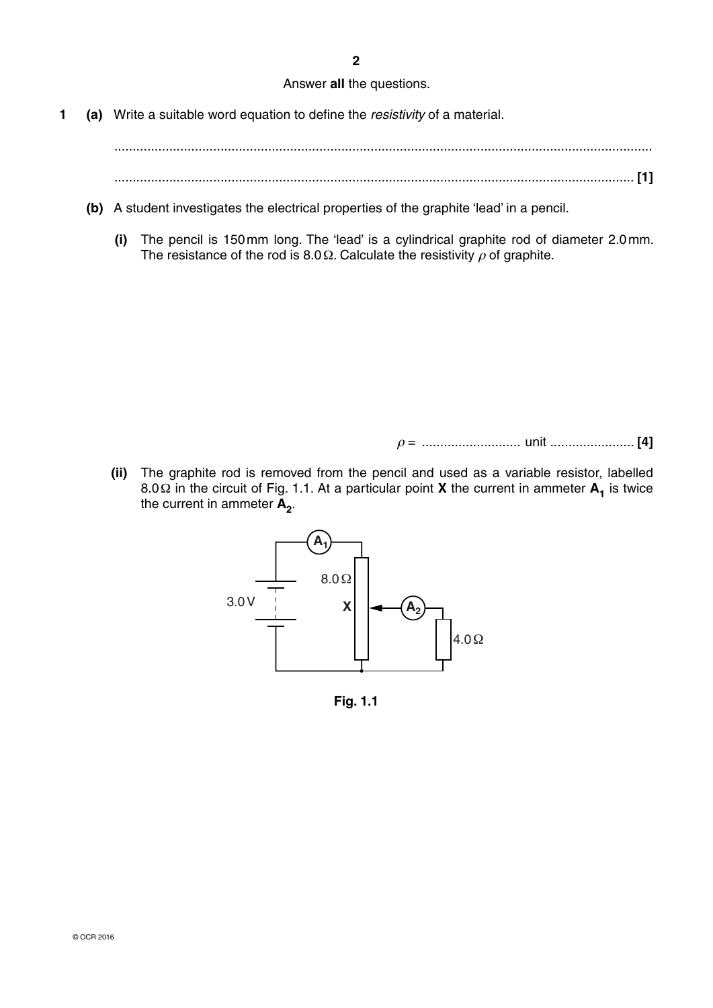**2**

Answer **all** the questions.

**1 (a)** Write a suitable word equation to define the *resistivity* of a material.

 ................................................................................................................................................... .............................................................................................................................................. **[1]**

- **(b)** A student investigates the electrical properties of the graphite 'lead' in a pencil.
	- **(i)** The pencil is 150 mm long. The 'lead' is a cylindrical graphite rod of diameter 2.0 mm. The resistance of the rod is 8.0  $\Omega$ . Calculate the resistivity  $\rho$  of graphite.

ρ = ........................... unit ....................... **[4]**

 **(ii)** The graphite rod is removed from the pencil and used as a variable resistor, labelled 8.0  $\Omega$  in the circuit of Fig. 1.1. At a particular point **X** the current in ammeter  $A_1$  is twice the current in ammeter  $A_2$ .



**Fig. 1.1**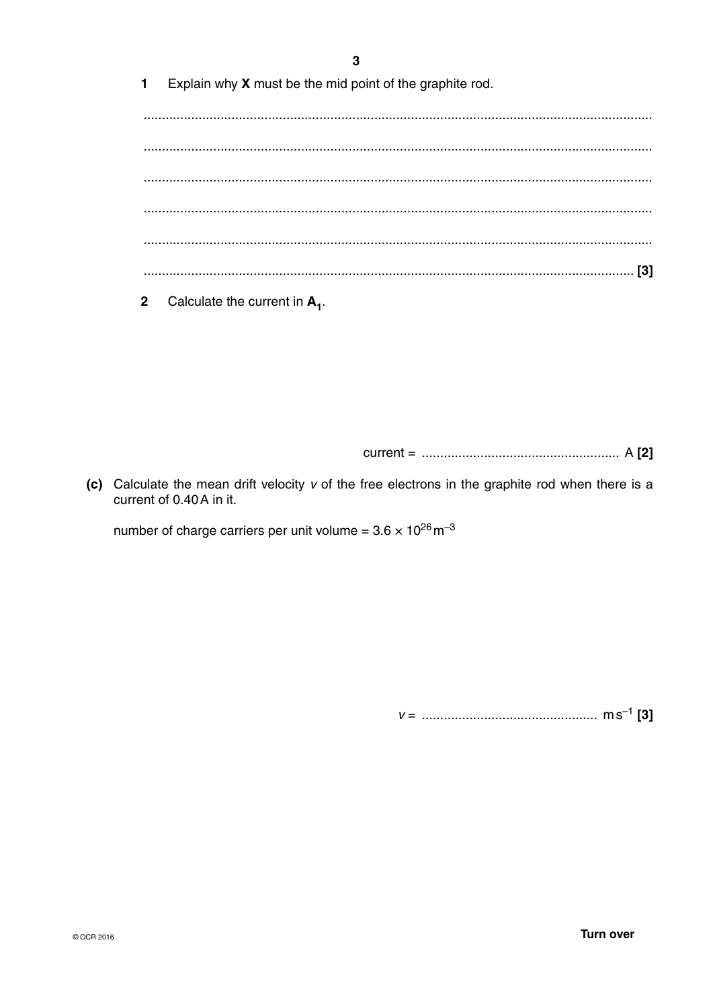Explain why X must be the mid point of the graphite rod.  $\mathbf{1}$ 

 $\mathbf 2$ Calculate the current in  $A_1$ .

(c) Calculate the mean drift velocity v of the free electrons in the graphite rod when there is a current of 0.40A in it.

number of charge carriers per unit volume =  $3.6 \times 10^{26}$  m<sup>-3</sup>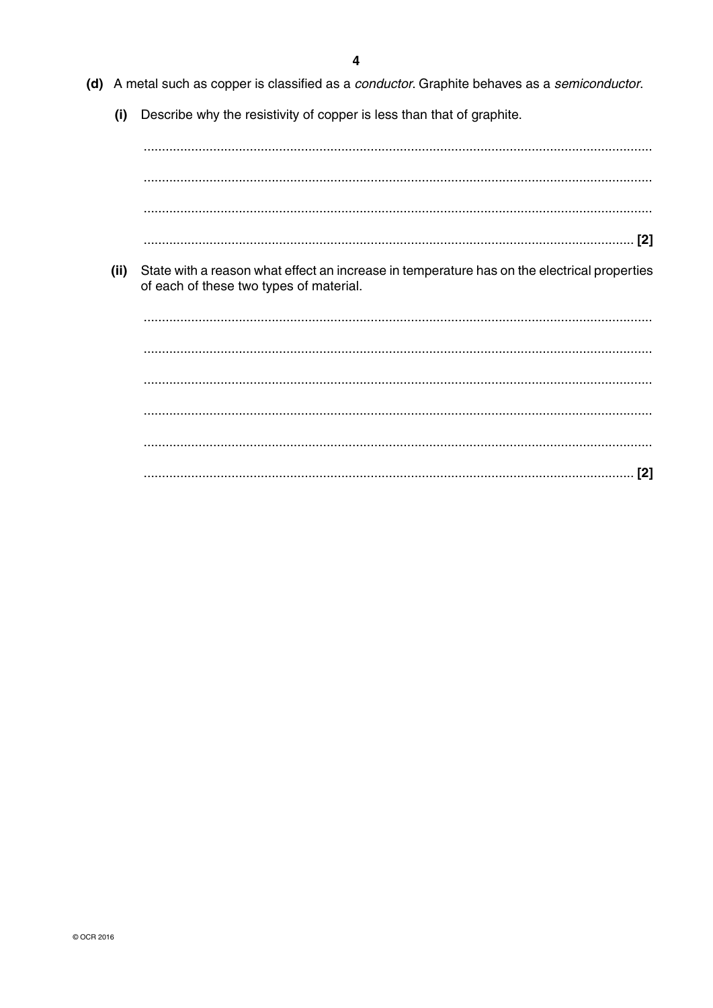$\overline{\mathbf{4}}$ 

- (d) A metal such as copper is classified as a conductor. Graphite behaves as a semiconductor.
	- Describe why the resistivity of copper is less than that of graphite.  $(i)$

 $(ii)$ State with a reason what effect an increase in temperature has on the electrical properties of each of these two types of material.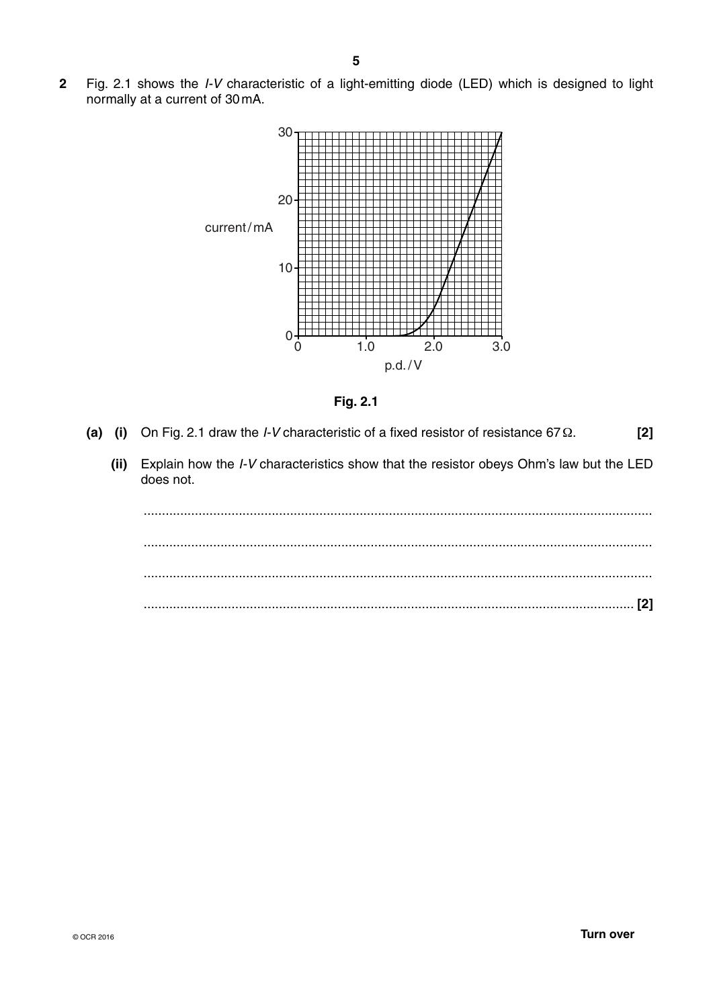**2** Fig. 2.1 shows the *I-V* characteristic of a light-emitting diode (LED) which is designed to light normally at a current of 30 mA.





- **(a) (i)** On Fig. 2.1 draw the *I-V* characteristic of a fixed resistor of resistance 67 Ω. **[2]**
	- **(ii)** Explain how the *I-V* characteristics show that the resistor obeys Ohm's law but the LED does not.

 ........................................................................................................................................... ........................................................................................................................................... ........................................................................................................................................... ...................................................................................................................................... **[2]**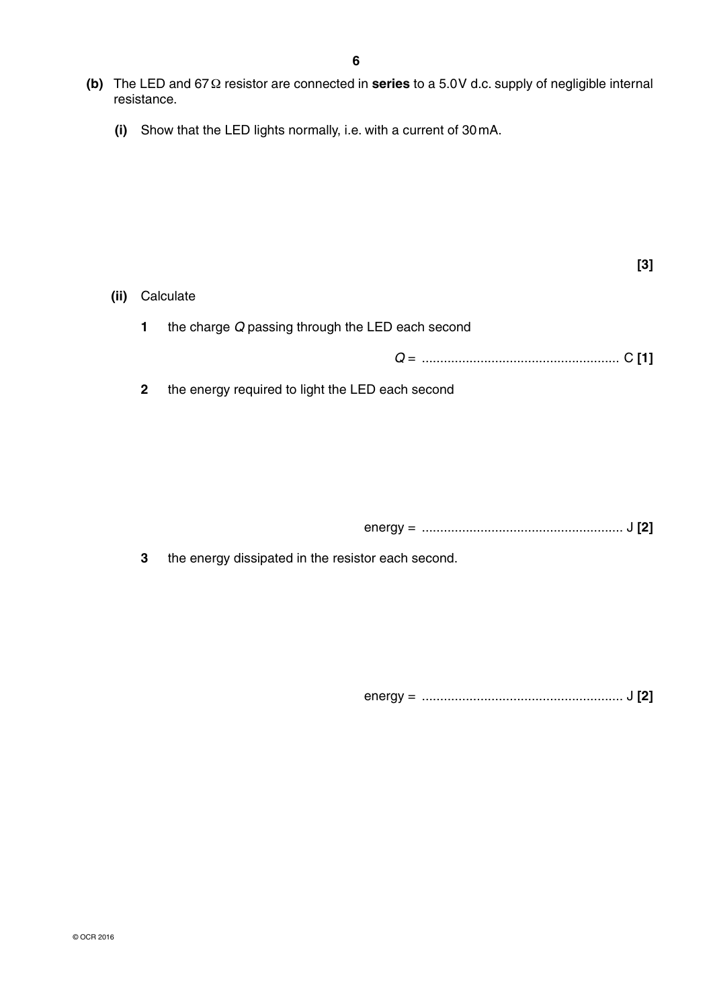- **(b)** The LED and 67 Ω resistor are connected in **series** to a 5.0 V d.c. supply of negligible internal resistance.
	- **(i)** Show that the LED lights normally, i.e. with a current of 30 mA.

### **[3]**

#### **(ii)** Calculate

 **1** the charge *Q* passing through the LED each second

*Q* = ...................................................... C **[1]**

 **2** the energy required to light the LED each second

energy = ....................................................... J **[2]**

 **3** the energy dissipated in the resistor each second.

energy = ....................................................... J **[2]**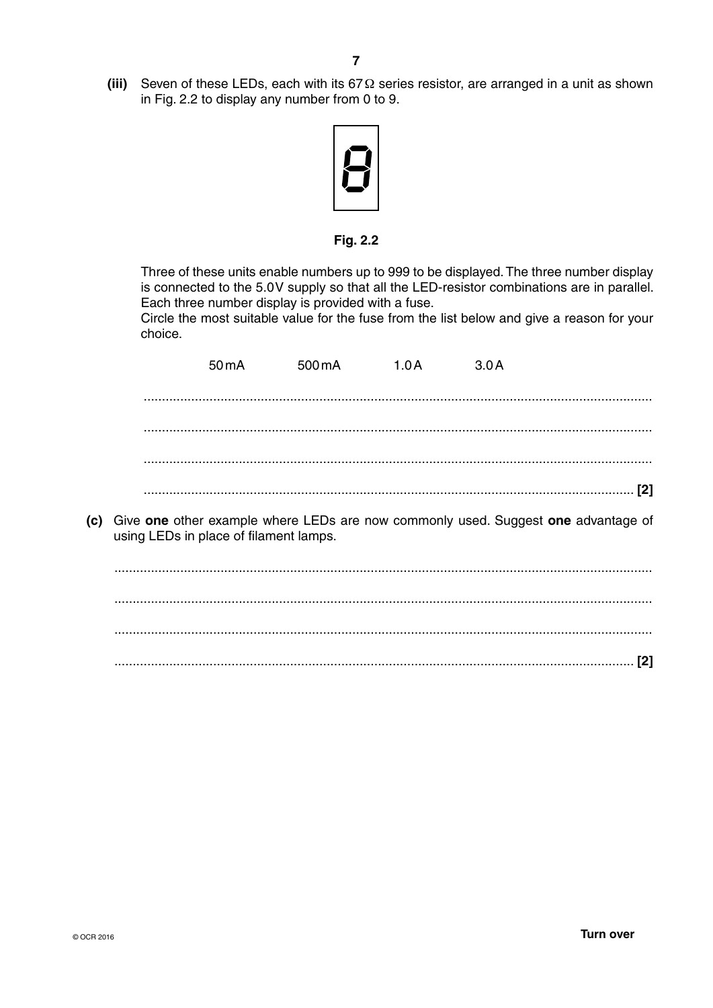**(iii)** Seven of these LEDs, each with its 67 Ω series resistor, are arranged in a unit as shown in Fig. 2.2 to display any number from 0 to 9.



#### **Fig. 2.2**

Three of these units enable numbers up to 999 to be displayed. The three number display is connected to the 5.0V supply so that all the LED-resistor combinations are in parallel. Each three number display is provided with a fuse.

Circle the most suitable value for the fuse from the list below and give a reason for your choice.

50 mA 500 mA 1.0 A 3.0 A ........................................................................................................................................... ........................................................................................................................................... ........................................................................................................................................... ...................................................................................................................................... **[2] (c)** Give **one** other example where LEDs are now commonly used. Suggest **one** advantage of using LEDs in place of filament lamps. ...................................................................................................................................................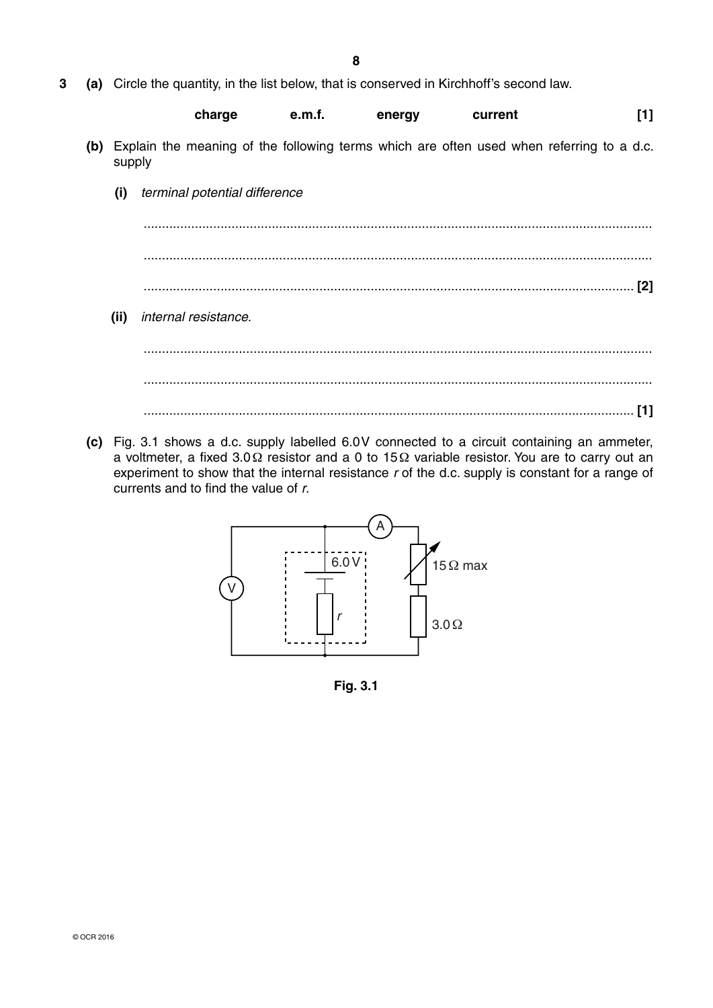- **8**
- **3 (a)** Circle the quantity, in the list below, that is conserved in Kirchhoff's second law.

|      |        | charge                        | e.m.f. | energy | current | [1]                                                                                          |
|------|--------|-------------------------------|--------|--------|---------|----------------------------------------------------------------------------------------------|
|      | supply |                               |        |        |         | (b) Explain the meaning of the following terms which are often used when referring to a d.c. |
| (i)  |        | terminal potential difference |        |        |         |                                                                                              |
|      |        |                               |        |        |         |                                                                                              |
|      |        |                               |        |        |         |                                                                                              |
| (ii) |        | internal resistance.          |        |        |         |                                                                                              |
|      |        |                               |        |        |         |                                                                                              |
|      |        |                               |        |        |         | [1]                                                                                          |

 **(c)** Fig. 3.1 shows a d.c. supply labelled 6.0 V connected to a circuit containing an ammeter, a voltmeter, a fixed 3.0 Ω resistor and a 0 to 15 Ω variable resistor. You are to carry out an experiment to show that the internal resistance *r* of the d.c. supply is constant for a range of currents and to find the value of *r*.



**Fig. 3.1**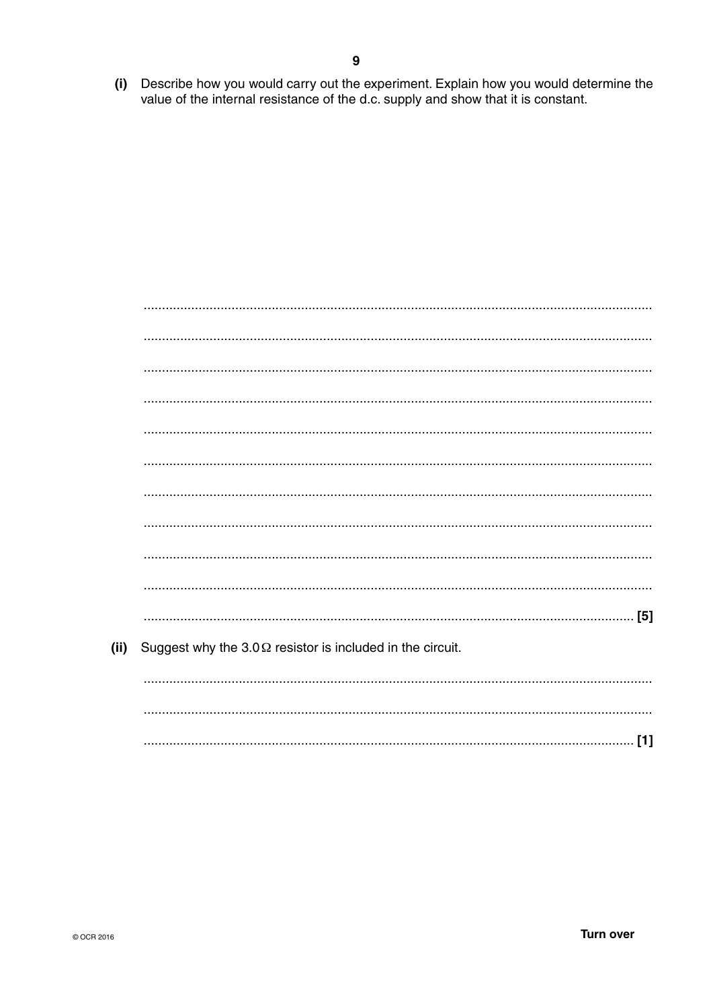(i) Describe how you would carry out the experiment. Explain how you would determine the value of the internal resistance of the d.c. supply and show that it is constant.

| (ii) | Suggest why the $3.0 \Omega$ resistor is included in the circuit. |
|------|-------------------------------------------------------------------|
|      |                                                                   |
|      |                                                                   |
|      | $[1]$                                                             |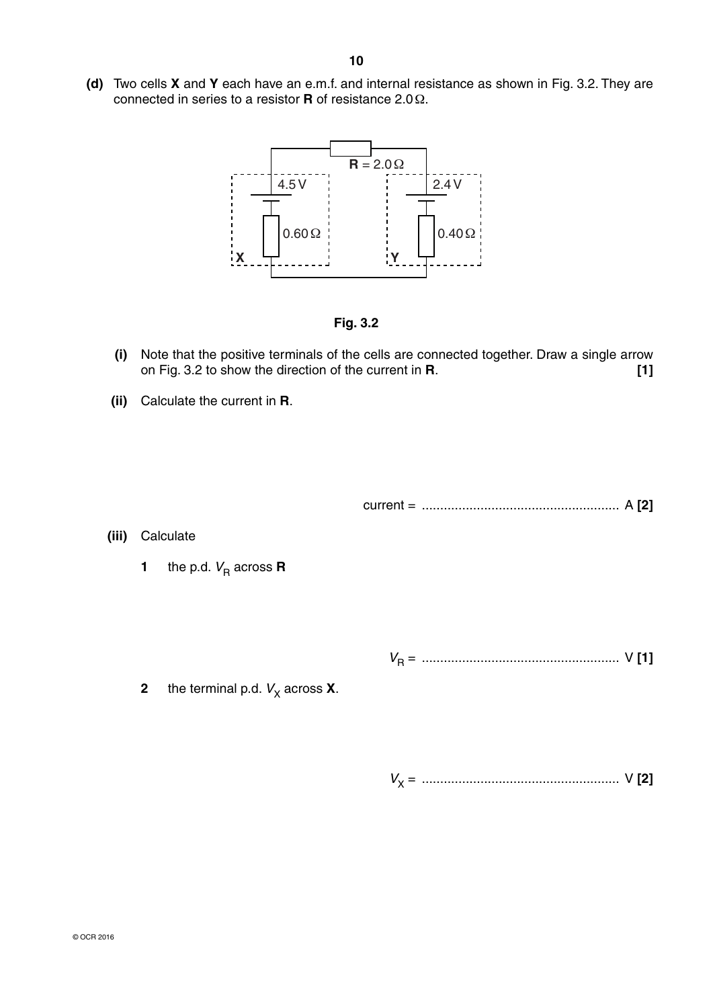**(d)** Two cells **X** and **Y** each have an e.m.f. and internal resistance as shown in Fig. 3.2. They are connected in series to a resistor **R** of resistance 2.0 Ω.





- **(i)** Note that the positive terminals of the cells are connected together. Draw a single arrow on Fig. 3.2 to show the direction of the current in **R**. **[1]**
- **(ii)** Calculate the current in **R**.

current = ...................................................... A **[2]**

- **(iii)** Calculate
	- **1** the p.d.  $V_R$  across **R**

*V*R = ...................................................... V **[1]**

**2** the terminal p.d.  $V_X$  across **X**.

*V*X = ...................................................... V **[2]**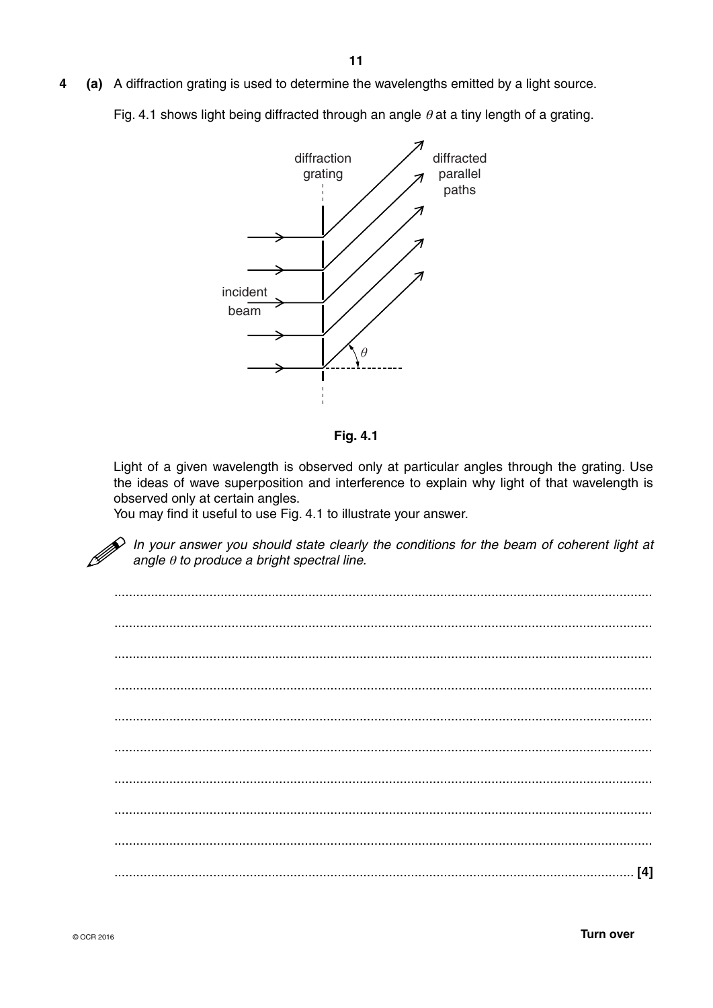$\overline{\mathbf{4}}$ (a) A diffraction grating is used to determine the wavelengths emitted by a light source.

Fig. 4.1 shows light being diffracted through an angle  $\theta$  at a tiny length of a grating.



Fig. 4.1

Light of a given wavelength is observed only at particular angles through the grating. Use the ideas of wave superposition and interference to explain why light of that wavelength is observed only at certain angles.

You may find it useful to use Fig. 4.1 to illustrate your answer.

 $\diamondsuit$  In your answer you should state clearly the conditions for the beam of coherent light at angle  $\theta$  to produce a bright spectral line.

**Turn over**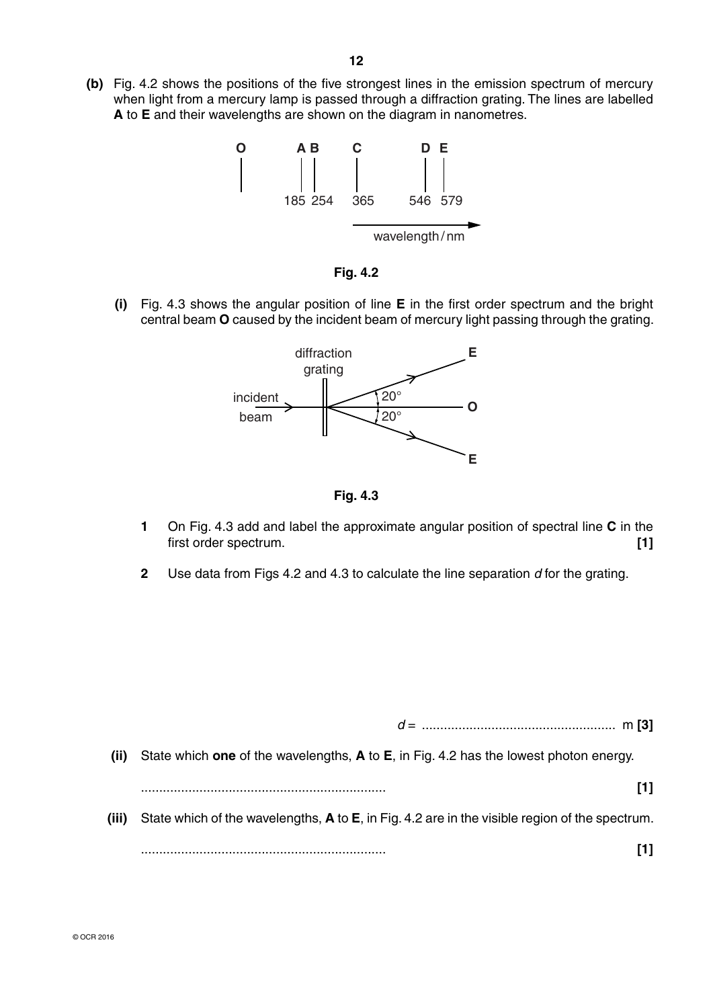**(b)** Fig. 4.2 shows the positions of the five strongest lines in the emission spectrum of mercury when light from a mercury lamp is passed through a diffraction grating. The lines are labelled **A** to **E** and their wavelengths are shown on the diagram in nanometres.





 **(i)** Fig. 4.3 shows the angular position of line **E** in the first order spectrum and the bright central beam **O** caused by the incident beam of mercury light passing through the grating.



**Fig. 4.3**

- **1** On Fig. 4.3 add and label the approximate angular position of spectral line **C** in the first order spectrum. **[1]**
- **2** Use data from Figs 4.2 and 4.3 to calculate the line separation *d* for the grating.

*d* = ..................................................... m **[3]**

 **(ii)** State which **one** of the wavelengths, **A** to **E**, in Fig. 4.2 has the lowest photon energy.

................................................................... **[1]**

................................................................... **[1]**

 **(iii)** State which of the wavelengths, **A** to **E**, in Fig. 4.2 are in the visible region of the spectrum.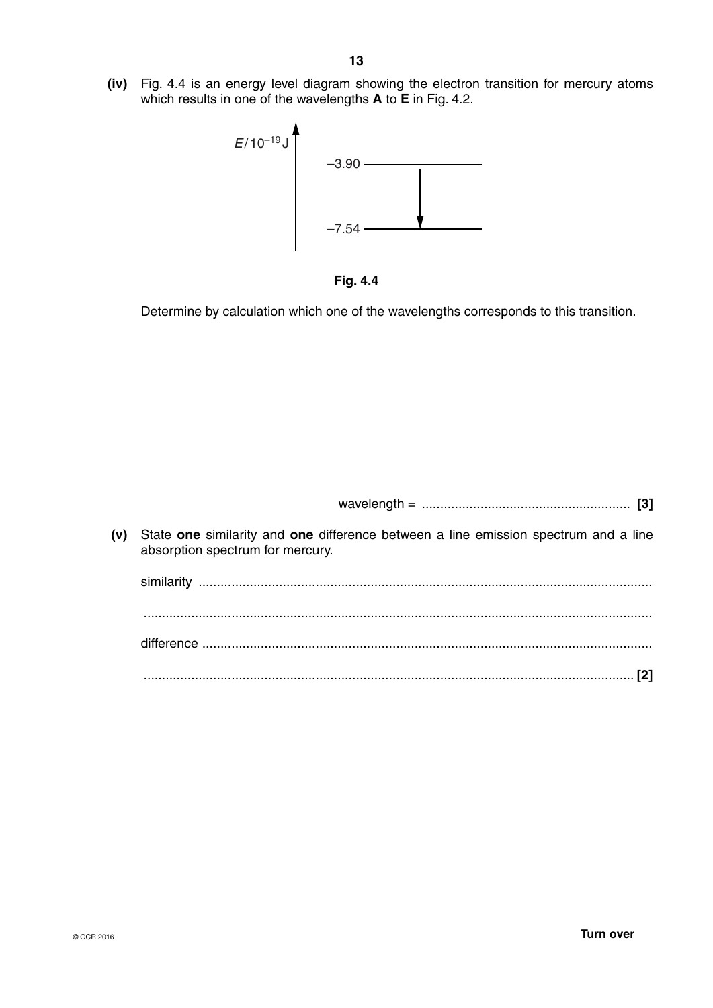**(iv)** Fig. 4.4 is an energy level diagram showing the electron transition for mercury atoms which results in one of the wavelengths **A** to **E** in Fig. 4.2.



**Fig. 4.4**

Determine by calculation which one of the wavelengths corresponds to this transition.

wavelength = ......................................................... **[3]**

 **(v)** State **one** similarity and **one** difference between a line emission spectrum and a line absorption spectrum for mercury. similarity ............................................................................................................................ ........................................................................................................................................... difference ........................................................................................................................... ...................................................................................................................................... **[2]**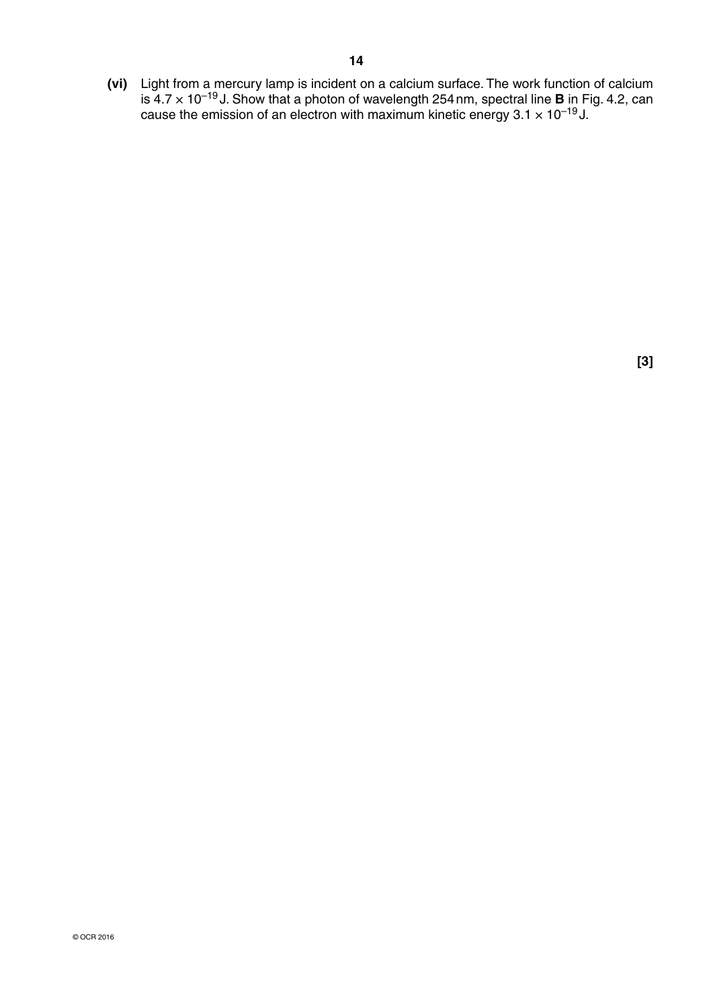**(vi)** Light from a mercury lamp is incident on a calcium surface. The work function of calcium is 4.7 × 10–19 J. Show that a photon of wavelength 254 nm, spectral line **B** in Fig. 4.2, can cause the emission of an electron with maximum kinetic energy  $3.1 \times 10^{-19}$  J.

**[3]**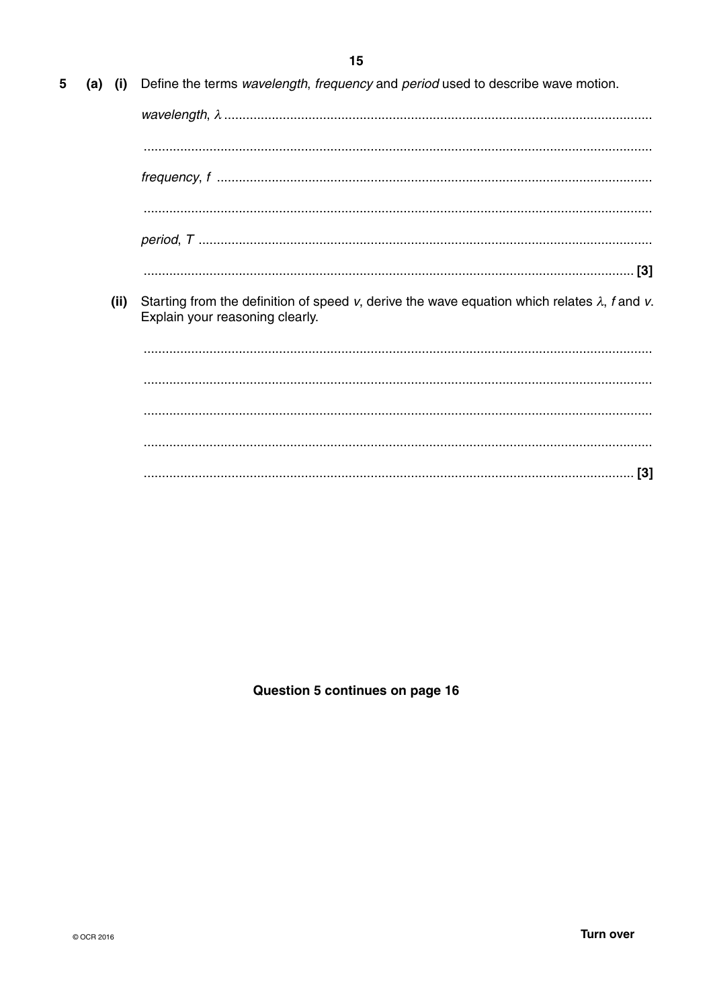|   |           | 15                                                                                                                                           |
|---|-----------|----------------------------------------------------------------------------------------------------------------------------------------------|
| 5 | $(a)$ (i) | Define the terms <i>wavelength, frequency</i> and <i>period</i> used to describe wave motion.                                                |
|   |           |                                                                                                                                              |
|   |           |                                                                                                                                              |
|   |           |                                                                                                                                              |
|   |           |                                                                                                                                              |
|   |           |                                                                                                                                              |
|   |           |                                                                                                                                              |
|   |           | (ii) Starting from the definition of speed v, derive the wave equation which relates $\lambda$ , f and v.<br>Explain your reasoning clearly. |
|   |           |                                                                                                                                              |
|   |           |                                                                                                                                              |
|   |           |                                                                                                                                              |

Question 5 continues on page 16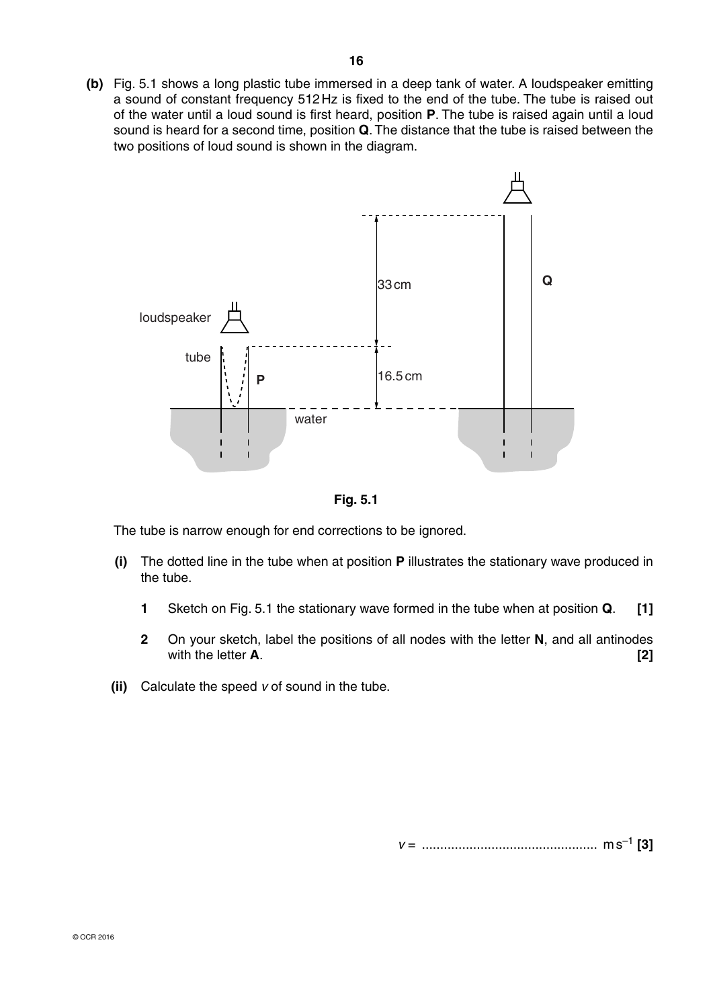**(b)** Fig. 5.1 shows a long plastic tube immersed in a deep tank of water. A loudspeaker emitting a sound of constant frequency 512 Hz is fixed to the end of the tube. The tube is raised out of the water until a loud sound is first heard, position **P**. The tube is raised again until a loud sound is heard for a second time, position **Q**. The distance that the tube is raised between the two positions of loud sound is shown in the diagram.



**Fig. 5.1**

The tube is narrow enough for end corrections to be ignored.

- **(i)** The dotted line in the tube when at position **P** illustrates the stationary wave produced in the tube.
	- **1** Sketch on Fig. 5.1 the stationary wave formed in the tube when at position **Q**. **[1]**
	- **2** On your sketch, label the positions of all nodes with the letter **N**, and all antinodes with the letter **A**. **[2]**
- **(ii)** Calculate the speed *v* of sound in the tube.

*v* = ................................................ m s–1 **[3]**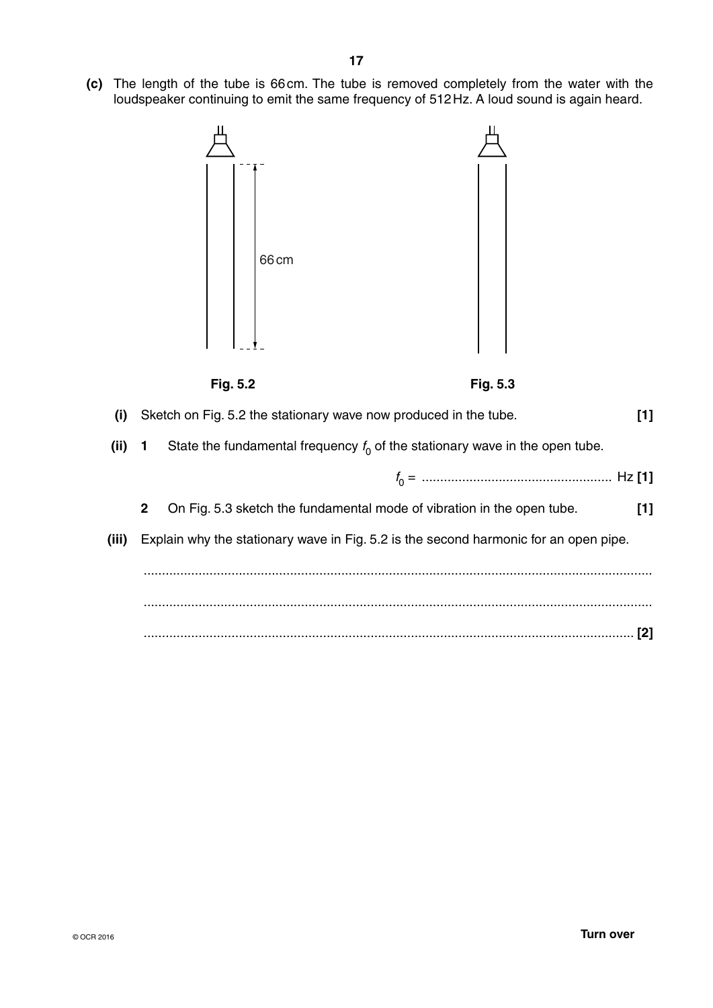**(c)** The length of the tube is 66 cm. The tube is removed completely from the water with the loudspeaker continuing to emit the same frequency of 512 Hz. A loud sound is again heard.







| $[1]$          | Sketch on Fig. 5.2 the stationary wave now produced in the tube.                       | (i)   |
|----------------|----------------------------------------------------------------------------------------|-------|
|                | State the fundamental frequency $f_0$ of the stationary wave in the open tube.<br>-1   | (ii)  |
|                |                                                                                        |       |
| [1]            | $\mathbf{2}$<br>On Fig. 5.3 sketch the fundamental mode of vibration in the open tube. |       |
|                | Explain why the stationary wave in Fig. 5.2 is the second harmonic for an open pipe.   | (iii) |
|                |                                                                                        |       |
|                |                                                                                        |       |
| $\mathbf{[2]}$ |                                                                                        |       |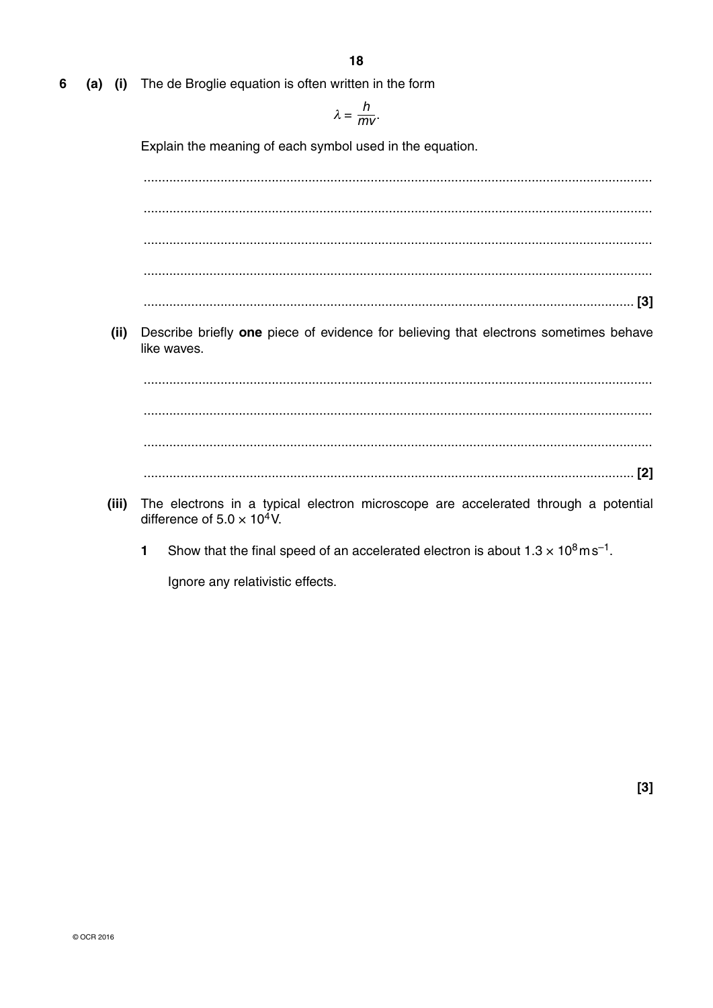(a) (i) The de Broglie equation is often written in the form  $6\phantom{1}6$ 

$$
\lambda = \frac{h}{mv}
$$

Explain the meaning of each symbol used in the equation.

 $(ii)$ Describe briefly one piece of evidence for believing that electrons sometimes behave like waves.

- The electrons in a typical electron microscope are accelerated through a potential (iii) difference of  $5.0 \times 10^4$ V.
	- Show that the final speed of an accelerated electron is about  $1.3 \times 10^8 \text{ m s}^{-1}$ .  $\mathbf{1}$

Ignore any relativistic effects.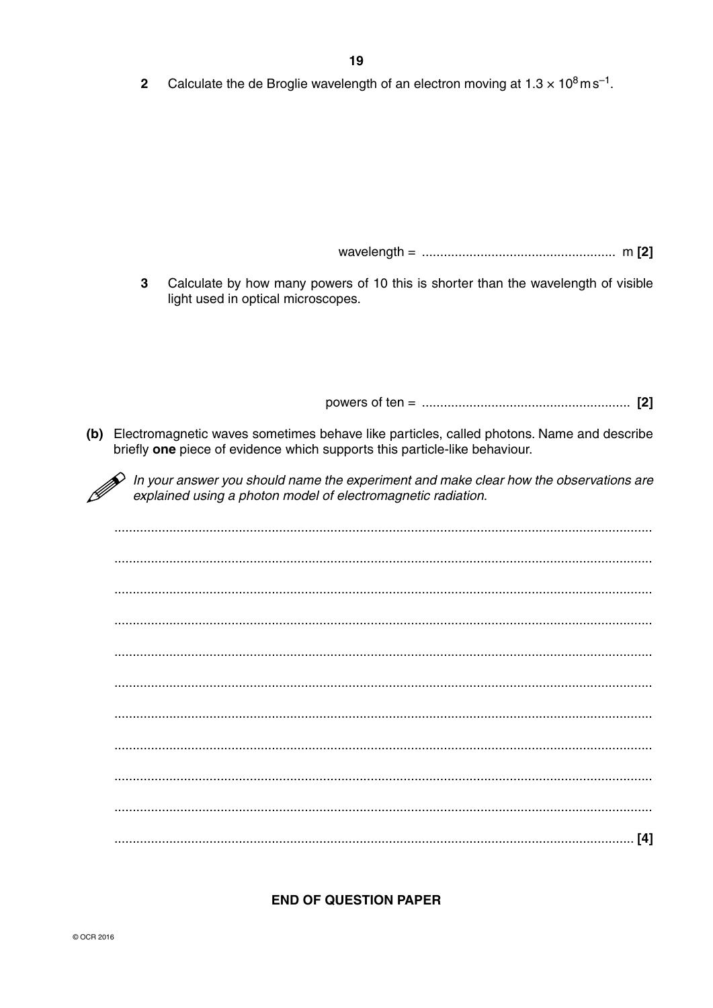Calculate the de Broglie wavelength of an electron moving at  $1.3 \times 10^8 \text{ m s}^{-1}$ .  $\overline{2}$ 

3 Calculate by how many powers of 10 this is shorter than the wavelength of visible light used in optical microscopes.

(b) Electromagnetic waves sometimes behave like particles, called photons. Name and describe briefly one piece of evidence which supports this particle-like behaviour.

 $\diamondsuit$  In your answer you should name the experiment and make clear how the observations are explained using a photon model of electromagnetic radiation.

#### **END OF QUESTION PAPER**